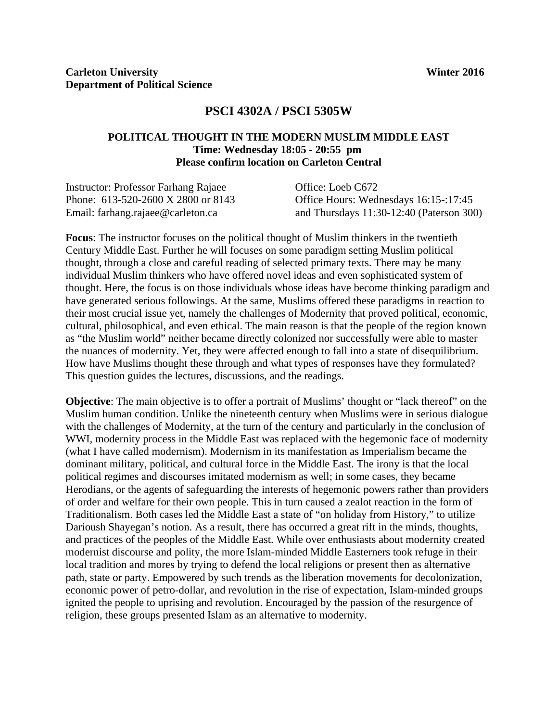# **PSCI 4302A / PSCI 5305W**

## **POLITICAL THOUGHT IN THE MODERN MUSLIM MIDDLE EAST Time: Wednesday 18:05 - 20:55 pm Please confirm location on Carleton Central**

| <b>Instructor: Professor Farhang Rajaee</b> | Office: Loeb C672                          |
|---------------------------------------------|--------------------------------------------|
| Phone: 613-520-2600 X 2800 or 8143          | Office Hours: Wednesdays 16:15-:17:45      |
| Email: farhang.rajaee@carleton.ca           | and Thursdays $11:30-12:40$ (Paterson 300) |

**Focus**: The instructor focuses on the political thought of Muslim thinkers in the twentieth Century Middle East. Further he will focuses on some paradigm setting Muslim political thought, through a close and careful reading of selected primary texts. There may be many individual Muslim thinkers who have offered novel ideas and even sophisticated system of thought. Here, the focus is on those individuals whose ideas have become thinking paradigm and have generated serious followings. At the same, Muslims offered these paradigms in reaction to their most crucial issue yet, namely the challenges of Modernity that proved political, economic, cultural, philosophical, and even ethical. The main reason is that the people of the region known as "the Muslim world" neither became directly colonized nor successfully were able to master the nuances of modernity. Yet, they were affected enough to fall into a state of disequilibrium. How have Muslims thought these through and what types of responses have they formulated? This question guides the lectures, discussions, and the readings.

**Objective**: The main objective is to offer a portrait of Muslims' thought or "lack thereof" on the Muslim human condition. Unlike the nineteenth century when Muslims were in serious dialogue with the challenges of Modernity, at the turn of the century and particularly in the conclusion of WWI, modernity process in the Middle East was replaced with the hegemonic face of modernity (what I have called modernism). Modernism in its manifestation as Imperialism became the dominant military, political, and cultural force in the Middle East. The irony is that the local political regimes and discourses imitated modernism as well; in some cases, they became Herodians, or the agents of safeguarding the interests of hegemonic powers rather than providers of order and welfare for their own people. This in turn caused a zealot reaction in the form of Traditionalism. Both cases led the Middle East a state of "on holiday from History," to utilize Darioush Shayegan's notion. As a result, there has occurred a great rift in the minds, thoughts, and practices of the peoples of the Middle East. While over enthusiasts about modernity created modernist discourse and polity, the more Islam-minded Middle Easterners took refuge in their local tradition and mores by trying to defend the local religions or present then as alternative path, state or party. Empowered by such trends as the liberation movements for decolonization, economic power of petro-dollar, and revolution in the rise of expectation, Islam-minded groups ignited the people to uprising and revolution. Encouraged by the passion of the resurgence of religion, these groups presented Islam as an alternative to modernity.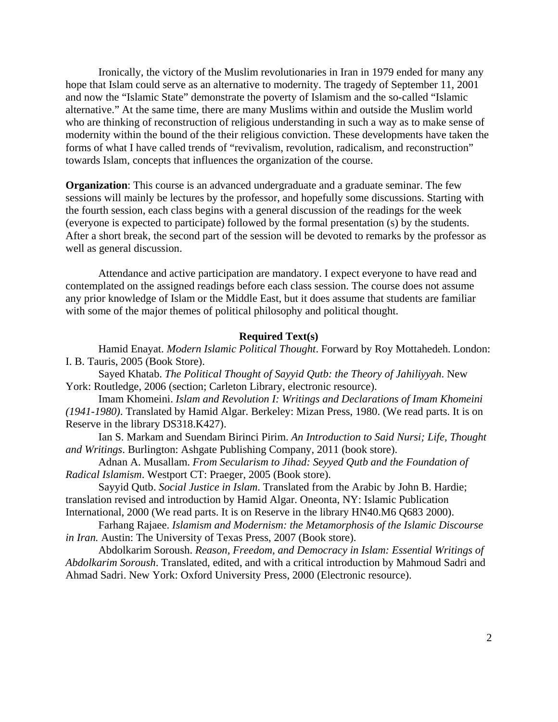Ironically, the victory of the Muslim revolutionaries in Iran in 1979 ended for many any hope that Islam could serve as an alternative to modernity. The tragedy of September 11, 2001 and now the "Islamic State" demonstrate the poverty of Islamism and the so-called "Islamic alternative." At the same time, there are many Muslims within and outside the Muslim world who are thinking of reconstruction of religious understanding in such a way as to make sense of modernity within the bound of the their religious conviction. These developments have taken the forms of what I have called trends of "revivalism, revolution, radicalism, and reconstruction" towards Islam, concepts that influences the organization of the course.

**Organization**: This course is an advanced undergraduate and a graduate seminar. The few sessions will mainly be lectures by the professor, and hopefully some discussions. Starting with the fourth session, each class begins with a general discussion of the readings for the week (everyone is expected to participate) followed by the formal presentation (s) by the students. After a short break, the second part of the session will be devoted to remarks by the professor as well as general discussion.

Attendance and active participation are mandatory. I expect everyone to have read and contemplated on the assigned readings before each class session. The course does not assume any prior knowledge of Islam or the Middle East, but it does assume that students are familiar with some of the major themes of political philosophy and political thought.

### **Required Text(s)**

Hamid Enayat. *Modern Islamic Political Thought*. Forward by Roy Mottahedeh. London: I. B. Tauris, 2005 (Book Store).

Sayed Khatab. *The Political Thought of Sayyid Qutb: the Theory of Jahiliyyah*. New York: Routledge, 2006 (section; Carleton Library, electronic resource).

Imam Khomeini. *Islam and Revolution I: Writings and Declarations of Imam Khomeini (1941-1980)*. Translated by Hamid Algar. Berkeley: Mizan Press, 1980. (We read parts. It is on Reserve in the library DS318.K427).

Ian S. Markam and Suendam Birinci Pirim. *An Introduction to Said Nursi; Life, Thought and Writings*. Burlington: Ashgate Publishing Company, 2011 (book store).

Adnan A. Musallam. *From Secularism to Jihad: Seyyed Qutb and the Foundation of Radical Islamism*. Westport CT: Praeger, 2005 (Book store).

Sayyid Qutb. *Social Justice in Islam*. Translated from the Arabic by John B. Hardie; translation revised and introduction by Hamid Algar. Oneonta, NY: Islamic Publication International, 2000 (We read parts. It is on Reserve in the library HN40.M6 Q683 2000).

Farhang Rajaee. *Islamism and Modernism: the Metamorphosis of the Islamic Discourse in Iran.* Austin: The University of Texas Press, 2007 (Book store).

Abdolkarim Soroush. *Reason, Freedom, and Democracy in Islam: Essential Writings of Abdolkarim Soroush*. Translated, edited, and with a critical introduction by Mahmoud Sadri and Ahmad Sadri. New York: Oxford University Press, 2000 (Electronic resource).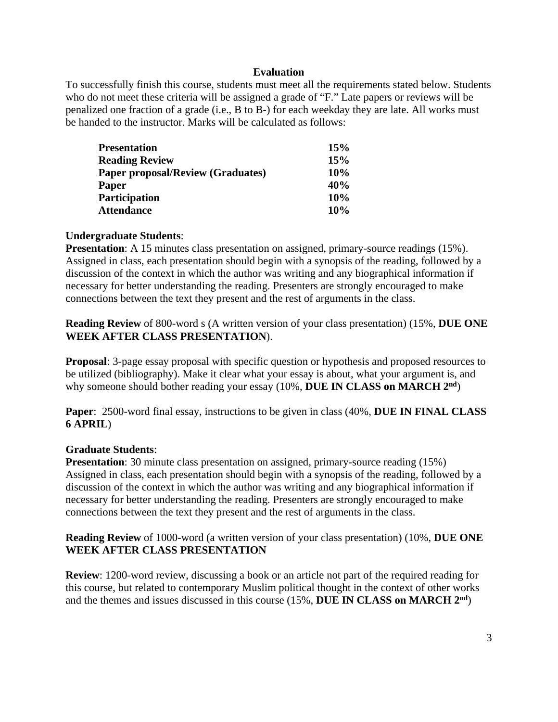## **Evaluation**

To successfully finish this course, students must meet all the requirements stated below. Students who do not meet these criteria will be assigned a grade of "F." Late papers or reviews will be penalized one fraction of a grade (i.e., B to B-) for each weekday they are late. All works must be handed to the instructor. Marks will be calculated as follows:

| <b>Presentation</b>                      | 15% |
|------------------------------------------|-----|
| <b>Reading Review</b>                    | 15% |
| <b>Paper proposal/Review (Graduates)</b> | 10% |
| Paper                                    | 40% |
| <b>Participation</b>                     | 10% |
| <b>Attendance</b>                        | 10% |

# **Undergraduate Students**:

**Presentation**: A 15 minutes class presentation on assigned, primary-source readings (15%). Assigned in class, each presentation should begin with a synopsis of the reading, followed by a discussion of the context in which the author was writing and any biographical information if necessary for better understanding the reading. Presenters are strongly encouraged to make connections between the text they present and the rest of arguments in the class.

**Reading Review** of 800-word s (A written version of your class presentation) (15%, **DUE ONE WEEK AFTER CLASS PRESENTATION**).

**Proposal**: 3-page essay proposal with specific question or hypothesis and proposed resources to be utilized (bibliography). Make it clear what your essay is about, what your argument is, and why someone should bother reading your essay (10%, **DUE IN CLASS on MARCH 2nd**)

**Paper**: 2500-word final essay, instructions to be given in class (40%, **DUE IN FINAL CLASS 6 APRIL**)

# **Graduate Students**:

**Presentation**: 30 minute class presentation on assigned, primary-source reading (15%) Assigned in class, each presentation should begin with a synopsis of the reading, followed by a discussion of the context in which the author was writing and any biographical information if necessary for better understanding the reading. Presenters are strongly encouraged to make connections between the text they present and the rest of arguments in the class.

# **Reading Review** of 1000-word (a written version of your class presentation) (10%, **DUE ONE WEEK AFTER CLASS PRESENTATION**

**Review**: 1200-word review, discussing a book or an article not part of the required reading for this course, but related to contemporary Muslim political thought in the context of other works and the themes and issues discussed in this course (15%, **DUE IN CLASS on MARCH 2nd**)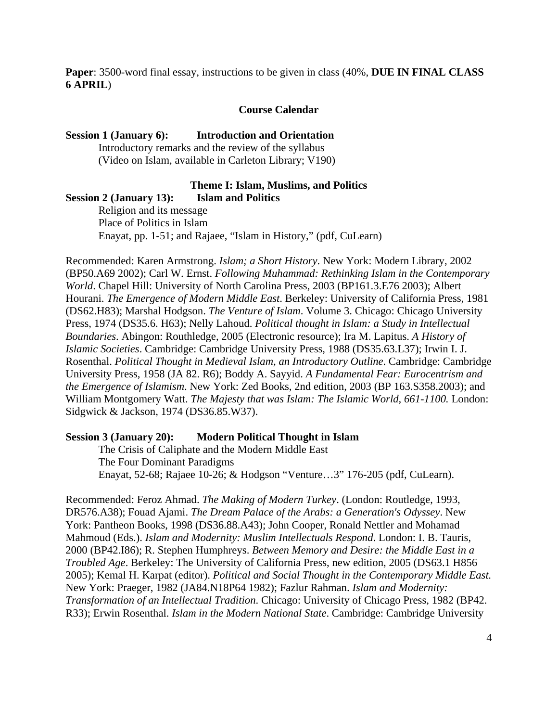**Paper**: 3500-word final essay, instructions to be given in class (40%, **DUE IN FINAL CLASS 6 APRIL**)

## **Course Calendar**

# **Session 1 (January 6): Introduction and Orientation**

Introductory remarks and the review of the syllabus (Video on Islam, available in Carleton Library; V190)

## **Theme I: Islam, Muslims, and Politics**

**Session 2 (January 13): Islam and Politics** 

Religion and its message Place of Politics in Islam Enayat, pp. 1-51; and Rajaee, "Islam in History," (pdf, CuLearn)

Recommended: Karen Armstrong. *Islam; a Short History*. New York: Modern Library, 2002 (BP50.A69 2002); Carl W. Ernst. *Following Muhammad: Rethinking Islam in the Contemporary World*. Chapel Hill: University of North Carolina Press, 2003 (BP161.3.E76 2003); Albert Hourani. *The Emergence of Modern Middle East*. Berkeley: University of California Press, 1981 (DS62.H83); Marshal Hodgson. *The Venture of Islam*. Volume 3. Chicago: Chicago University Press, 1974 (DS35.6. H63); Nelly Lahoud. *Political thought in Islam: a Study in Intellectual Boundaries*. Abingon: Routhledge, 2005 (Electronic resource); Ira M. Lapitus. *A History of Islamic Societies*. Cambridge: Cambridge University Press, 1988 (DS35.63.L37); Irwin I. J. Rosenthal. *Political Thought in Medieval Islam, an Introductory Outline*. Cambridge: Cambridge University Press, 1958 (JA 82. R6); Boddy A. Sayyid. *A Fundamental Fear: Eurocentrism and the Emergence of Islamism*. New York: Zed Books, 2nd edition, 2003 (BP 163.S358.2003); and William Montgomery Watt. *The Majesty that was Islam: The Islamic World, 661-1100*. London: Sidgwick & Jackson, 1974 (DS36.85.W37).

### **Session 3 (January 20): Modern Political Thought in Islam**

The Crisis of Caliphate and the Modern Middle East The Four Dominant Paradigms Enayat, 52-68; Rajaee 10-26; & Hodgson "Venture…3" 176-205 (pdf, CuLearn).

Recommended: Feroz Ahmad. *The Making of Modern Turkey*. (London: Routledge, 1993, DR576.A38); Fouad Ajami. *The Dream Palace of the Arabs: a Generation's Odyssey*. New York: Pantheon Books, 1998 (DS36.88.A43); John Cooper, Ronald Nettler and Mohamad Mahmoud (Eds.). *Islam and Modernity: Muslim Intellectuals Respond*. London: I. B. Tauris, 2000 (BP42.I86); R. Stephen Humphreys. *Between Memory and Desire: the Middle East in a Troubled Age*. Berkeley: The University of California Press, new edition, 2005 (DS63.1 H856 2005); Kemal H. Karpat (editor). *Political and Social Thought in the Contemporary Middle East.* New York: Praeger, 1982 (JA84.N18P64 1982); Fazlur Rahman. *Islam and Modernity: Transformation of an Intellectual Tradition*. Chicago: University of Chicago Press, 1982 (BP42. R33); Erwin Rosenthal. *Islam in the Modern National State*. Cambridge: Cambridge University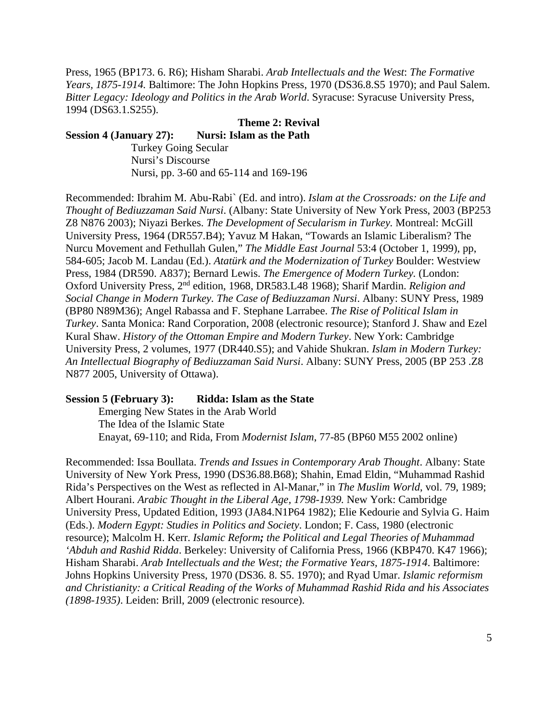Press, 1965 (BP173. 6. R6); Hisham Sharabi. *Arab Intellectuals and the West*: *The Formative Years, 1875-1914.* Baltimore: The John Hopkins Press, 1970 (DS36.8.S5 1970); and Paul Salem. *Bitter Legacy: Ideology and Politics in the Arab World*. Syracuse: Syracuse University Press, 1994 (DS63.1.S255).

## **Theme 2: Revival Session 4 (January 27): Nursi: Islam as the Path**  Turkey Going Secular Nursi's Discourse Nursi, pp. 3-60 and 65-114 and 169-196

Recommended: Ibrahim M. Abu-Rabi` (Ed. and intro). *Islam at the Crossroads: on the Life and Thought of Bediuzzaman Said Nursi*. (Albany: State University of New York Press, 2003 (BP253 Z8 N876 2003); Niyazi Berkes. *The Development of Secularism in Turkey.* Montreal: McGill University Press, 1964 (DR557.B4); Yavuz M Hakan, "Towards an Islamic Liberalism? The Nurcu Movement and Fethullah Gulen," *The Middle East Journal* 53:4 (October 1, 1999), pp, 584-605; Jacob M. Landau (Ed.). *Atatürk and the Modernization of Turkey* Boulder: Westview Press, 1984 (DR590. A837); Bernard Lewis. *The Emergence of Modern Turkey.* (London: Oxford University Press, 2nd edition, 1968, DR583.L48 1968); Sharif Mardin. *Religion and Social Change in Modern Turkey. The Case of Bediuzzaman Nursi*. Albany: SUNY Press, 1989 (BP80 N89M36); Angel Rabassa and F. Stephane Larrabee. *The Rise of Political Islam in Turkey*. Santa Monica: Rand Corporation, 2008 (electronic resource); Stanford J. Shaw and Ezel Kural Shaw. *History of the Ottoman Empire and Modern Turkey*. New York: Cambridge University Press, 2 volumes, 1977 (DR440.S5); and Vahide Shukran. *Islam in Modern Turkey: An Intellectual Biography of Bediuzzaman Said Nursi*. Albany: SUNY Press, 2005 (BP 253 .Z8 N877 2005, University of Ottawa).

### **Session 5 (February 3): Ridda: Islam as the State**

Emerging New States in the Arab World The Idea of the Islamic State Enayat, 69-110; and Rida, From *Modernist Islam*, 77-85 (BP60 M55 2002 online)

Recommended: Issa Boullata. *Trends and Issues in Contemporary Arab Thought*. Albany: State University of New York Press, 1990 (DS36.88.B68); Shahin, Emad Eldin, "Muhammad Rashid Rida's Perspectives on the West as reflected in Al-Manar," in *The Muslim World*, vol. 79, 1989; Albert Hourani. *Arabic Thought in the Liberal Age, 1798-1939.* New York: Cambridge University Press, Updated Edition, 1993 (JA84.N1P64 1982); Elie Kedourie and Sylvia G. Haim (Eds.). *Modern Egypt: Studies in Politics and Society*. London; F. Cass, 1980 (electronic resource); Malcolm H. Kerr. *Islamic Reform; the Political and Legal Theories of Muhammad 'Abduh and Rashid Ridda*. Berkeley: University of California Press, 1966 (KBP470. K47 1966); Hisham Sharabi. *Arab Intellectuals and the West; the Formative Years, 1875-1914*. Baltimore: Johns Hopkins University Press, 1970 (DS36. 8. S5. 1970); and Ryad Umar. *Islamic reformism and Christianity: a Critical Reading of the Works of Muhammad Rashid Rida and his Associates (1898-1935)*. Leiden: Brill, 2009 (electronic resource).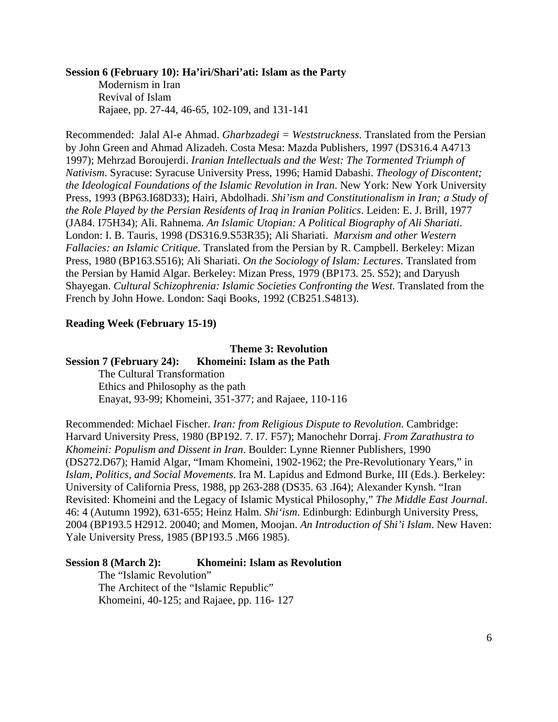## **Session 6 (February 10): Ha'iri/Shari'ati: Islam as the Party**

 Modernism in Iran Revival of Islam Rajaee, pp. 27-44, 46-65, 102-109, and 131-141

Recommended: Jalal Al-e Ahmad. *Gharbzadegi = Weststruckness*. Translated from the Persian by John Green and Ahmad Alizadeh. Costa Mesa: Mazda Publishers, 1997 (DS316.4 A4713 1997); Mehrzad Boroujerdi. *Iranian Intellectuals and the West: The Tormented Triumph of Nativism*. Syracuse: Syracuse University Press, 1996; Hamid Dabashi. *Theology of Discontent; the Ideological Foundations of the Islamic Revolution in Iran*. New York: New York University Press, 1993 (BP63.I68D33); Hairi, Abdolhadi. *Shi'ism and Constitutionalism in Iran; a Study of the Role Played by the Persian Residents of Iraq in Iranian Politics*. Leiden: E. J. Brill, 1977 (JA84. I75H34); Ali. Rahnema. *An Islamic Utopian: A Political Biography of Ali Shariati*. London: I. B. Tauris, 1998 (DS316.9.S53R35); Ali Shariati. *Marxism and other Western Fallacies: an Islamic Critique*. Translated from the Persian by R. Campbell. Berkeley: Mizan Press, 1980 (BP163.S516); Ali Shariati. *On the Sociology of Islam: Lectures*. Translated from the Persian by Hamid Algar. Berkeley: Mizan Press, 1979 (BP173. 25. S52); and Daryush Shayegan. *Cultural Schizophrenia: Islamic Societies Confronting the West*. Translated from the French by John Howe. London: Saqi Books, 1992 (CB251.S4813).

#### **Reading Week (February 15-19)**

### **Theme 3: Revolution**

# **Session 7 (February 24): Khomeini: Islam as the Path**

The Cultural Transformation Ethics and Philosophy as the path Enayat, 93-99; Khomeini, 351-377; and Rajaee, 110-116

Recommended: Michael Fischer. *Iran: from Religious Dispute to Revolution*. Cambridge: Harvard University Press, 1980 (BP192. 7. I7. F57); Manochehr Dorraj. *From Zarathustra to Khomeini: Populism and Dissent in Iran*. Boulder: Lynne Rienner Publishers, 1990 (DS272.D67); Hamid Algar, "Imam Khomeini, 1902-1962; the Pre-Revolutionary Years," in *Islam, Politics, and Social Movements*. Ira M. Lapidus and Edmond Burke, III (Eds.). Berkeley: University of California Press, 1988, pp 263-288 (DS35. 63 .I64); Alexander Kynsh. "Iran Revisited: Khomeini and the Legacy of Islamic Mystical Philosophy," *The Middle East Journal*. 46: 4 (Autumn 1992), 631-655; Heinz Halm. *Shi'ism*. Edinburgh: Edinburgh University Press, 2004 (BP193.5 H2912. 20040; and Momen, Moojan. *An Introduction of Shi'i Islam*. New Haven: Yale University Press, 1985 (BP193.5 .M66 1985).

#### **Session 8 (March 2): Khomeini: Islam as Revolution**

 The "Islamic Revolution" The Architect of the "Islamic Republic" Khomeini, 40-125; and Rajaee, pp. 116- 127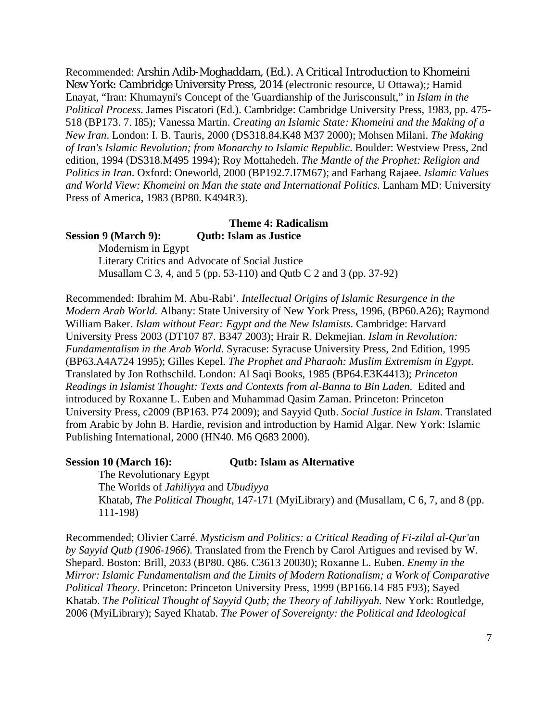Recommended: Arshin Adib-Moghaddam, (Ed.). *A Critical Introduction to Khomeini*  New York: Cambridge University Press, 2014 (electronic resource, U Ottawa);; Hamid Enayat, "Iran: Khumayni's Concept of the 'Guardianship of the Jurisconsult," in *Islam in the Political Process*. James Piscatori (Ed.). Cambridge: Cambridge University Press, 1983, pp. 475- 518 (BP173. 7. I85); Vanessa Martin. *Creating an Islamic State: Khomeini and the Making of a New Iran*. London: I. B. Tauris, 2000 (DS318.84.K48 M37 2000); Mohsen Milani. *The Making of Iran's Islamic Revolution; from Monarchy to Islamic Republic*. Boulder: Westview Press, 2nd edition, 1994 (DS318.M495 1994); Roy Mottahedeh. *The Mantle of the Prophet: Religion and Politics in Iran*. Oxford: Oneworld, 2000 (BP192.7.I7M67); and Farhang Rajaee. *Islamic Values and World View: Khomeini on Man the state and International Politics*. Lanham MD: University Press of America, 1983 (BP80. K494R3).

#### **Theme 4: Radicalism Session 9 (March 9): Qutb: Islam as Justice**

Modernism in Egypt Literary Critics and Advocate of Social Justice

Musallam C 3, 4, and 5 (pp. 53-110) and Qutb C 2 and 3 (pp. 37-92)

Recommended: Ibrahim M. Abu-Rabi'. *Intellectual Origins of Islamic Resurgence in the Modern Arab World.* Albany: State University of New York Press, 1996, (BP60.A26); Raymond William Baker. *Islam without Fear: Egypt and the New Islamists*. Cambridge: Harvard University Press 2003 (DT107 87. B347 2003); Hrair R. Dekmejian. *Islam in Revolution: Fundamentalism in the Arab World*. Syracuse: Syracuse University Press, 2nd Edition, 1995 (BP63.A4A724 1995); Gilles Kepel. *The Prophet and Pharaoh: Muslim Extremism in Egypt*. Translated by Jon Rothschild. London: Al Saqi Books, 1985 (BP64.E3K4413); *Princeton Readings in Islamist Thought: Texts and Contexts from al-Banna to Bin Laden*. Edited and introduced by Roxanne L. Euben and Muhammad Qasim Zaman. Princeton: Princeton University Press, c2009 (BP163. P74 2009); and Sayyid Qutb. *Social Justice in Islam*. Translated from Arabic by John B. Hardie, revision and introduction by Hamid Algar. New York: Islamic Publishing International, 2000 (HN40. M6 Q683 2000).

### Session 10 (March 16): **Outb: Islam as Alternative**

The Revolutionary Egypt The Worlds of *Jahiliyya* and *Ubudiyya* Khatab, *The Political Thought*, 147-171 (MyiLibrary) and (Musallam, C 6, 7, and 8 (pp. 111-198)

Recommended; Olivier Carré. *Mysticism and Politics: a Critical Reading of Fi-zilal al-Qur'an by Sayyid Qutb (1906-1966)*. Translated from the French by Carol Artigues and revised by W. Shepard. Boston: Brill, 2033 (BP80. Q86. C3613 20030); Roxanne L. Euben. *Enemy in the Mirror: Islamic Fundamentalism and the Limits of Modern Rationalism; a Work of Comparative Political Theory*. Princeton: Princeton University Press, 1999 (BP166.14 F85 F93); Sayed Khatab. *The Political Thought of Sayyid Qutb; the Theory of Jahiliyyah.* New York: Routledge, 2006 (MyiLibrary); Sayed Khatab. *The Power of Sovereignty: the Political and Ideological*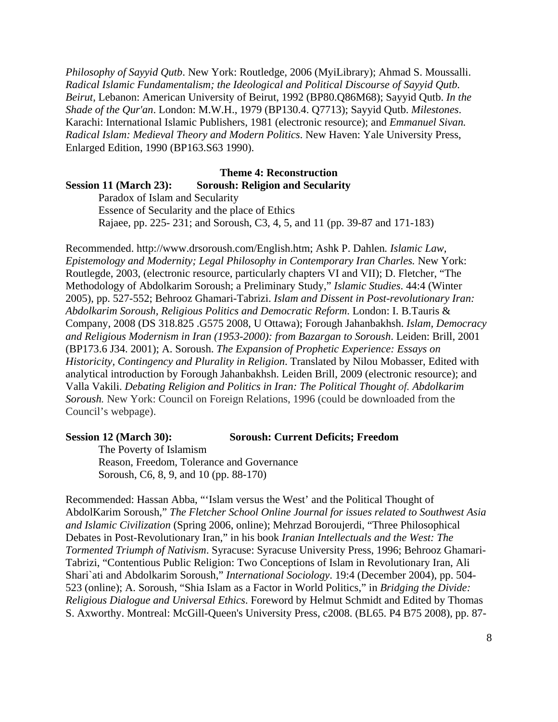*Philosophy of Sayyid Qutb*. New York: Routledge, 2006 (MyiLibrary); Ahmad S. Moussalli. *Radical Islamic Fundamentalism; the Ideological and Political Discourse of Sayyid Qutb. Beirut*, Lebanon: American University of Beirut, 1992 (BP80.Q86M68); Sayyid Qutb. *In the Shade of the Qur'an*. London: M.W.H., 1979 (BP130.4. Q7713); Sayyid Qutb. *Milestones*. Karachi: International Islamic Publishers, 1981 (electronic resource); and *Emmanuel Sivan. Radical Islam: Medieval Theory and Modern Politics*. New Haven: Yale University Press, Enlarged Edition, 1990 (BP163.S63 1990).

### **Theme 4: Reconstruction Session 11 (March 23): Soroush: Religion and Secularity**

Paradox of Islam and Secularity Essence of Secularity and the place of Ethics Rajaee, pp. 225- 231; and Soroush, C3, 4, 5, and 11 (pp. 39-87 and 171-183)

Recommended. http://www.drsoroush.com/English.htm; Ashk P. Dahlen*. Islamic Law, Epistemology and Modernity; Legal Philosophy in Contemporary Iran Charles.* New York: Routlegde, 2003, (electronic resource, particularly chapters VI and VII); D. Fletcher, "The Methodology of Abdolkarim Soroush; a Preliminary Study," *Islamic Studies*. 44:4 (Winter 2005), pp. 527-552; Behrooz Ghamari-Tabrizi. *Islam and Dissent in Post-revolutionary Iran: Abdolkarim Soroush, Religious Politics and Democratic Reform*. London: I. B.Tauris & Company, 2008 (DS 318.825 .G575 2008, U Ottawa); Forough Jahanbakhsh. *Islam, Democracy and Religious Modernism in Iran (1953-2000): from Bazargan to Soroush*. Leiden: Brill, 2001 (BP173.6 J34. 2001); A. Soroush. *The Expansion of Prophetic Experience: Essays on Historicity, Contingency and Plurality in Religion*. Translated by Nilou Mobasser, Edited with analytical introduction by Forough Jahanbakhsh. Leiden Brill, 2009 (electronic resource); and Valla Vakili. *Debating Religion and Politics in Iran: The Political Thought of. Abdolkarim Soroush.* New York: Council on Foreign Relations, 1996 (could be downloaded from the Council's webpage).

#### **Session 12 (March 30): Soroush: Current Deficits; Freedom**

The Poverty of Islamism Reason, Freedom, Tolerance and Governance Soroush, C6, 8, 9, and 10 (pp. 88-170)

Recommended: Hassan Abba, "'Islam versus the West' and the Political Thought of AbdolKarim Soroush," *The Fletcher School Online Journal for issues related to Southwest Asia and Islamic Civilization* (Spring 2006, online); Mehrzad Boroujerdi, "Three Philosophical Debates in Post-Revolutionary Iran," in his book *Iranian Intellectuals and the West: The Tormented Triumph of Nativism*. Syracuse: Syracuse University Press, 1996; Behrooz Ghamari-Tabrizi, "Contentious Public Religion: Two Conceptions of Islam in Revolutionary Iran, Ali Shari`ati and Abdolkarim Soroush," *International Sociology*. 19:4 (December 2004), pp. 504- 523 (online); A. Soroush, "Shia Islam as a Factor in World Politics," in *Bridging the Divide: Religious Dialogue and Universal Ethics*. Foreword by Helmut Schmidt and Edited by Thomas S. Axworthy. Montreal: McGill-Queen's University Press, c2008. (BL65. P4 B75 2008), pp. 87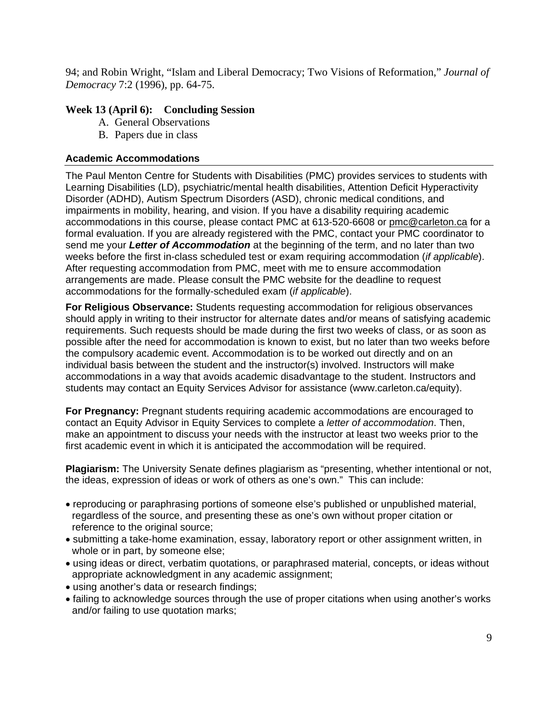94; and Robin Wright, "Islam and Liberal Democracy; Two Visions of Reformation," *Journal of Democracy* 7:2 (1996), pp. 64-75.

# **Week 13 (April 6): Concluding Session**

- A. General Observations
- B. Papers due in class

## **Academic Accommodations**

The Paul Menton Centre for Students with Disabilities (PMC) provides services to students with Learning Disabilities (LD), psychiatric/mental health disabilities, Attention Deficit Hyperactivity Disorder (ADHD), Autism Spectrum Disorders (ASD), chronic medical conditions, and impairments in mobility, hearing, and vision. If you have a disability requiring academic accommodations in this course, please contact PMC at 613-520-6608 or pmc@carleton.ca for a formal evaluation. If you are already registered with the PMC, contact your PMC coordinator to send me your *Letter of Accommodation* at the beginning of the term, and no later than two weeks before the first in-class scheduled test or exam requiring accommodation (*if applicable*). After requesting accommodation from PMC, meet with me to ensure accommodation arrangements are made. Please consult the PMC website for the deadline to request accommodations for the formally-scheduled exam (*if applicable*).

**For Religious Observance:** Students requesting accommodation for religious observances should apply in writing to their instructor for alternate dates and/or means of satisfying academic requirements. Such requests should be made during the first two weeks of class, or as soon as possible after the need for accommodation is known to exist, but no later than two weeks before the compulsory academic event. Accommodation is to be worked out directly and on an individual basis between the student and the instructor(s) involved. Instructors will make accommodations in a way that avoids academic disadvantage to the student. Instructors and students may contact an Equity Services Advisor for assistance (www.carleton.ca/equity).

**For Pregnancy:** Pregnant students requiring academic accommodations are encouraged to contact an Equity Advisor in Equity Services to complete a *letter of accommodation*. Then, make an appointment to discuss your needs with the instructor at least two weeks prior to the first academic event in which it is anticipated the accommodation will be required.

**Plagiarism:** The University Senate defines plagiarism as "presenting, whether intentional or not, the ideas, expression of ideas or work of others as one's own." This can include:

- reproducing or paraphrasing portions of someone else's published or unpublished material, regardless of the source, and presenting these as one's own without proper citation or reference to the original source;
- submitting a take-home examination, essay, laboratory report or other assignment written, in whole or in part, by someone else;
- using ideas or direct, verbatim quotations, or paraphrased material, concepts, or ideas without appropriate acknowledgment in any academic assignment;
- using another's data or research findings;
- failing to acknowledge sources through the use of proper citations when using another's works and/or failing to use quotation marks;